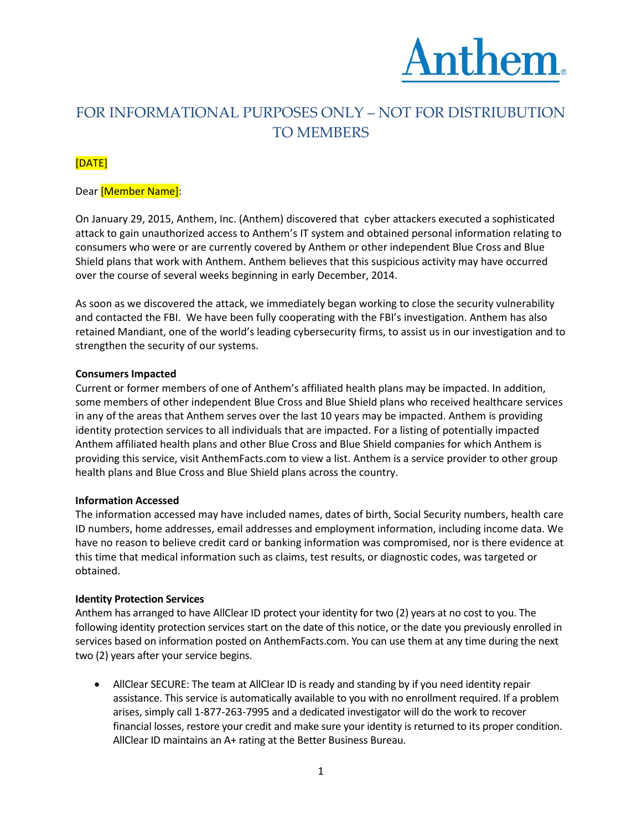

# FOR INFORMATIONAL PURPOSES ONLY – NOT FOR DISTRIUBUTION TO MEMBERS

# [DATE]

## Dear [Member Name]:

On January 29, 2015, Anthem, Inc. (Anthem) discovered that cyber attackers executed a sophisticated attack to gain unauthorized access to Anthem's IT system and obtained personal information relating to consumers who were or are currently covered by Anthem or other independent Blue Cross and Blue Shield plans that work with Anthem. Anthem believes that this suspicious activity may have occurred over the course of several weeks beginning in early December, 2014.

As soon as we discovered the attack, we immediately began working to close the security vulnerability and contacted the FBI. We have been fully cooperating with the FBI's investigation. Anthem has also retained Mandiant, one of the world's leading cybersecurity firms, to assist us in our investigation and to strengthen the security of our systems.

#### **Consumers Impacted**

Current or former members of one of Anthem's affiliated health plans may be impacted. In addition, some members of other independent Blue Cross and Blue Shield plans who received healthcare services in any of the areas that Anthem serves over the last 10 years may be impacted. Anthem is providing identity protection services to all individuals that are impacted. For a listing of potentially impacted Anthem affiliated health plans and other Blue Cross and Blue Shield companies for which Anthem is providing this service, visit AnthemFacts.com to view a list. Anthem is a service provider to other group health plans and Blue Cross and Blue Shield plans across the country.

#### **Information Accessed**

The information accessed may have included names, dates of birth, Social Security numbers, health care ID numbers, home addresses, email addresses and employment information, including income data. We have no reason to believe credit card or banking information was compromised, nor is there evidence at this time that medical information such as claims, test results, or diagnostic codes, was targeted or obtained.

#### **Identity Protection Services**

Anthem has arranged to have AllClear ID protect your identity for two (2) years at no cost to you. The following identity protection services start on the date of this notice, or the date you previously enrolled in services based on information posted on AnthemFacts.com. You can use them at any time during the next two (2) years after your service begins.

• AllClear SECURE: The team at AllClear ID is ready and standing by if you need identity repair assistance. This service is automatically available to you with no enrollment required. If a problem arises, simply call 1-877-263-7995 and a dedicated investigator will do the work to recover financial losses, restore your credit and make sure your identity is returned to its proper condition. AllClear ID maintains an A+ rating at the Better Business Bureau.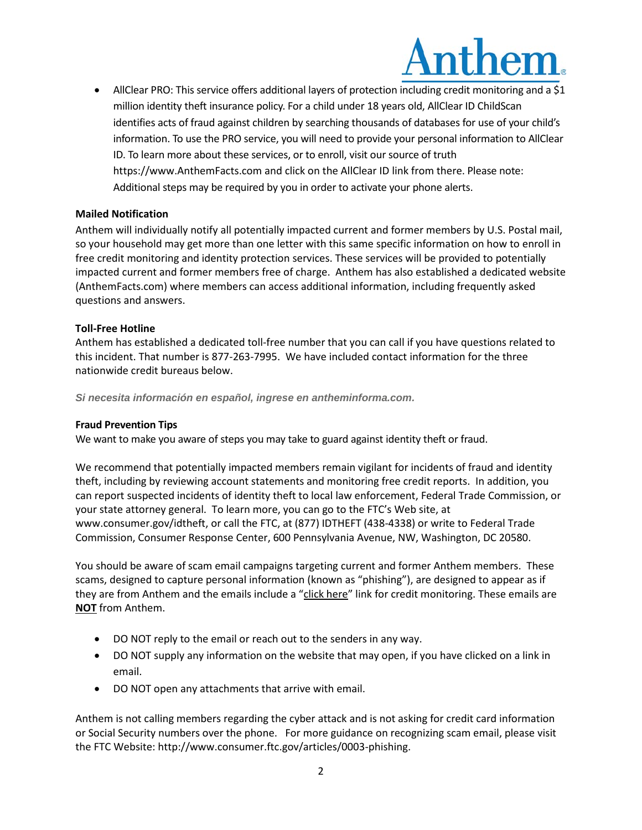

• AllClear PRO: This service offers additional layers of protection including credit monitoring and a \$1 million identity theft insurance policy. For a child under 18 years old, AllClear ID ChildScan identifies acts of fraud against children by searching thousands of databases for use of your child's information. To use the PRO service, you will need to provide your personal information to AllClear ID. To learn more about these services, or to enroll, visit our source of truth https://www.AnthemFacts.com and click on the AllClear ID link from there. Please note: Additional steps may be required by you in order to activate your phone alerts.

#### **Mailed Notification**

Anthem will individually notify all potentially impacted current and former members by U.S. Postal mail, so your household may get more than one letter with this same specific information on how to enroll in free credit monitoring and identity protection services. These services will be provided to potentially impacted current and former members free of charge. Anthem has also established a dedicated website (AnthemFacts.com) where members can access additional information, including frequently asked questions and answers.

## **Toll-Free Hotline**

Anthem has established a dedicated toll-free number that you can call if you have questions related to this incident. That number is 877-263-7995. We have included contact information for the three nationwide credit bureaus below.

*Si necesita información en español, ingrese en antheminforma.com.*

#### **Fraud Prevention Tips**

We want to make you aware of steps you may take to guard against identity theft or fraud.

We recommend that potentially impacted members remain vigilant for incidents of fraud and identity theft, including by reviewing account statements and monitoring free credit reports. In addition, you can report suspected incidents of identity theft to local law enforcement, Federal Trade Commission, or your state attorney general. To learn more, you can go to the FTC's Web site, at www.consumer.gov/idtheft, or call the FTC, at (877) IDTHEFT (438-4338) or write to Federal Trade Commission, Consumer Response Center, 600 Pennsylvania Avenue, NW, Washington, DC 20580.

You should be aware of scam email campaigns targeting current and former Anthem members. These scams, designed to capture personal information (known as "phishing"), are designed to appear as if they are from Anthem and the emails include a "click here" link for credit monitoring. These emails are **NOT** from Anthem.

- DO NOT reply to the email or reach out to the senders in any way.
- DO NOT supply any information on the website that may open, if you have clicked on a link in email.
- DO NOT open any attachments that arrive with email.

Anthem is not calling members regarding the cyber attack and is not asking for credit card information or Social Security numbers over the phone. For more guidance on recognizing scam email, please visit the FTC Website: http://www.consumer.ftc.gov/articles/0003-phishing.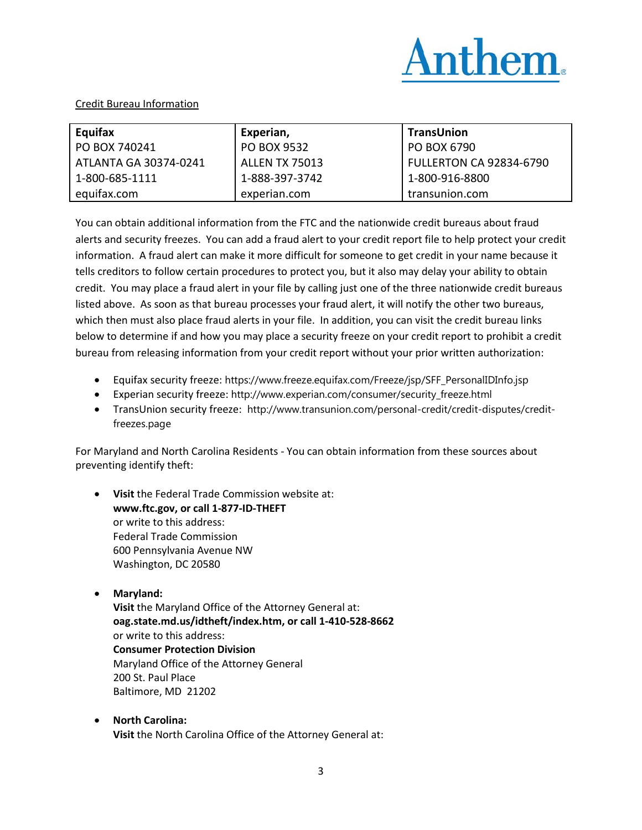

#### Credit Bureau Information

| Equifax               | Experian,             | TransUnion                |
|-----------------------|-----------------------|---------------------------|
| PO BOX 740241         | PO BOX 9532           | PO BOX 6790               |
| ATLANTA GA 30374-0241 | <b>ALLEN TX 75013</b> | l FULLERTON CA 92834-6790 |
| 1-800-685-1111        | 1-888-397-3742        | 1-800-916-8800            |
| equifax.com           | experian.com          | transunion.com            |

You can obtain additional information from the FTC and the nationwide credit bureaus about fraud alerts and security freezes. You can add a fraud alert to your credit report file to help protect your credit information. A fraud alert can make it more difficult for someone to get credit in your name because it tells creditors to follow certain procedures to protect you, but it also may delay your ability to obtain credit. You may place a fraud alert in your file by calling just one of the three nationwide credit bureaus listed above. As soon as that bureau processes your fraud alert, it will notify the other two bureaus, which then must also place fraud alerts in your file. In addition, you can visit the credit bureau links below to determine if and how you may place a security freeze on your credit report to prohibit a credit bureau from releasing information from your credit report without your prior written authorization:

- Equifax security freeze: https://www.freeze.equifax.com/Freeze/jsp/SFF\_PersonalIDInfo.jsp
- Experian security freeze: http://www.experian.com/consumer/security\_freeze.html
- TransUnion security freeze: http://www.transunion.com/personal-credit/credit-disputes/creditfreezes.page

For Maryland and North Carolina Residents - You can obtain information from these sources about preventing identify theft:

- **Visit** the Federal Trade Commission website at: **www.ftc.gov, or call 1-877-ID-THEFT** or write to this address: Federal Trade Commission 600 Pennsylvania Avenue NW Washington, DC 20580
- **Maryland: Visit** the Maryland Office of the Attorney General at: **oag.state.md.us/idtheft/index.htm, or call 1-410-528-8662** or write to this address: **Consumer Protection Division**  Maryland Office of the Attorney General 200 St. Paul Place Baltimore, MD 21202
- **North Carolina: Visit** the North Carolina Office of the Attorney General at: